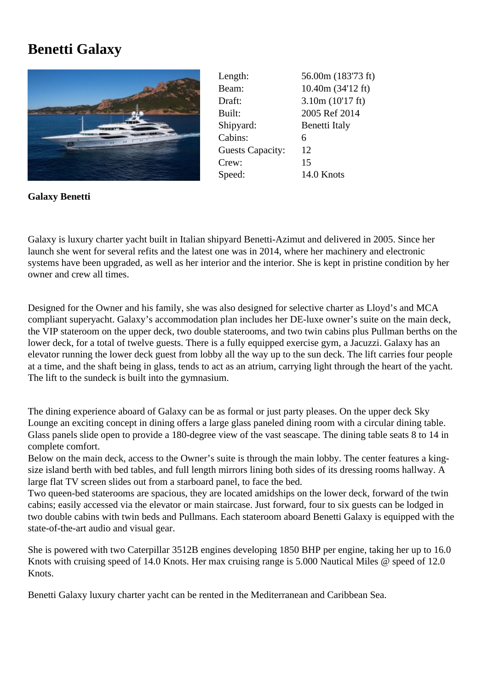## **Benetti Galaxy**



Length: 56.00m (183'73 ft) Beam: 10.40m (34'12 ft) Draft: 3.10m (10'17 ft) Built: 2005 Ref 2014 Shipyard: Benetti Italy Cabins: 6 Guests Capacity: 12 Crew: 15 Speed: 14.0 Knots

**Galaxy Benetti**

Galaxy is luxury charter yacht built in Italian shipyard Benetti-Azimut and delivered in 2005. Since her launch she went for several refits and the latest one was in 2014, where her machinery and electronic systems have been upgraded, as well as her interior and the interior. She is kept in pristine condition by her owner and crew all times.

Designed for the Owner and his family, she was also designed for selective charter as Lloyd's and MCA compliant superyacht. Galaxy's accommodation plan includes her DE-luxe owner's suite on the main deck, the VIP stateroom on the upper deck, two double staterooms, and two twin cabins plus Pullman berths on the lower deck, for a total of twelve guests. There is a fully equipped exercise gym, a Jacuzzi. Galaxy has an elevator running the lower deck guest from lobby all the way up to the sun deck. The lift carries four people at a time, and the shaft being in glass, tends to act as an atrium, carrying light through the heart of the yacht. The lift to the sundeck is built into the gymnasium.

The dining experience aboard of Galaxy can be as formal or just party pleases. On the upper deck Sky Lounge an exciting concept in dining offers a large glass paneled dining room with a circular dining table. Glass panels slide open to provide a 180-degree view of the vast seascape. The dining table seats 8 to 14 in complete comfort.

Below on the main deck, access to the Owner's suite is through the main lobby. The center features a kingsize island berth with bed tables, and full length mirrors lining both sides of its dressing rooms hallway. A large flat TV screen slides out from a starboard panel, to face the bed.

Two queen-bed staterooms are spacious, they are located amidships on the lower deck, forward of the twin cabins; easily accessed via the elevator or main staircase. Just forward, four to six guests can be lodged in two double cabins with twin beds and Pullmans. Each stateroom aboard Benetti Galaxy is equipped with the state-of-the-art audio and visual gear.

She is powered with two Caterpillar 3512B engines developing 1850 BHP per engine, taking her up to 16.0 Knots with cruising speed of 14.0 Knots. Her max cruising range is 5.000 Nautical Miles @ speed of 12.0 Knots.

Benetti Galaxy luxury charter yacht can be rented in the Mediterranean and Caribbean Sea.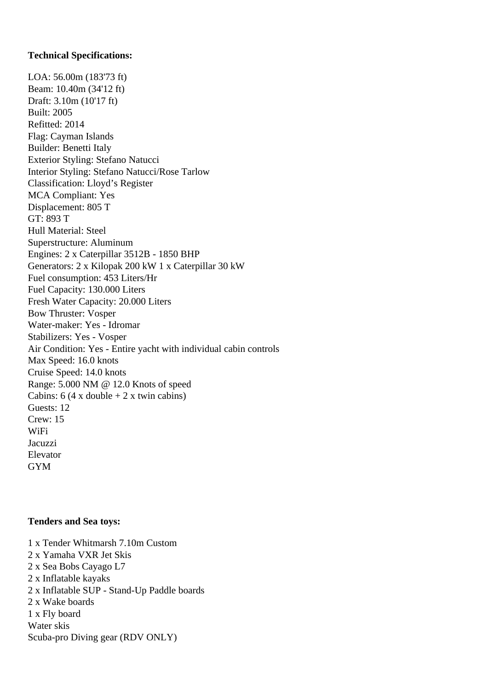## **Technical Specifications:**

LOA: 56.00m (183'73 ft) Beam: 10.40m (34'12 ft) Draft: 3.10m (10'17 ft) Built: 2005 Refitted: 2014 Flag: Cayman Islands Builder: Benetti Italy Exterior Styling: Stefano Natucci Interior Styling: Stefano Natucci/Rose Tarlow Classification: Lloyd's Register MCA Compliant: Yes Displacement: 805 T GT: 893 T Hull Material: Steel Superstructure: Aluminum Engines: 2 x Caterpillar 3512B - 1850 BHP Generators: 2 x Kilopak 200 kW 1 x Caterpillar 30 kW Fuel consumption: 453 Liters/Hr Fuel Capacity: 130.000 Liters Fresh Water Capacity: 20.000 Liters Bow Thruster: Vosper Water-maker: Yes - Idromar Stabilizers: Yes - Vosper Air Condition: Yes - Entire yacht with individual cabin controls Max Speed: 16.0 knots Cruise Speed: 14.0 knots Range: 5.000 NM @ 12.0 Knots of speed Cabins:  $6(4 \times \text{double} + 2 \times \text{twin cabins})$ Guests: 12 Crew: 15 WiFi **Jacuzzi** Elevator GYM

## **Tenders and Sea toys:**

1 x Tender Whitmarsh 7.10m Custom 2 x Yamaha VXR Jet Skis 2 x Sea Bobs Cayago L7 2 x Inflatable kayaks 2 x Inflatable SUP - Stand-Up Paddle boards 2 x Wake boards 1 x Fly board Water skis Scuba-pro Diving gear (RDV ONLY)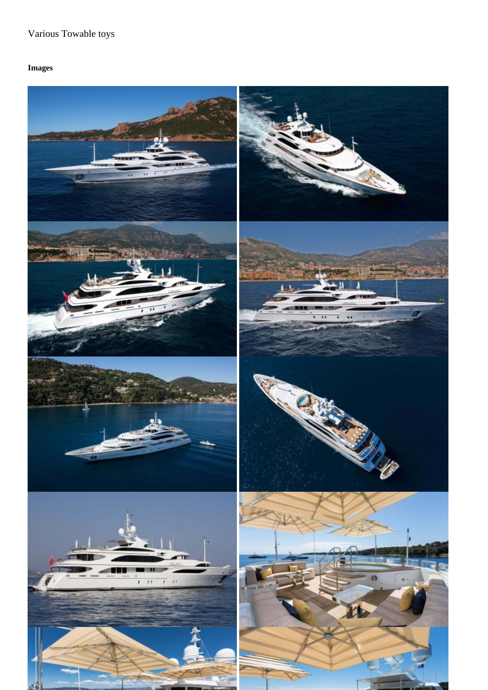Images